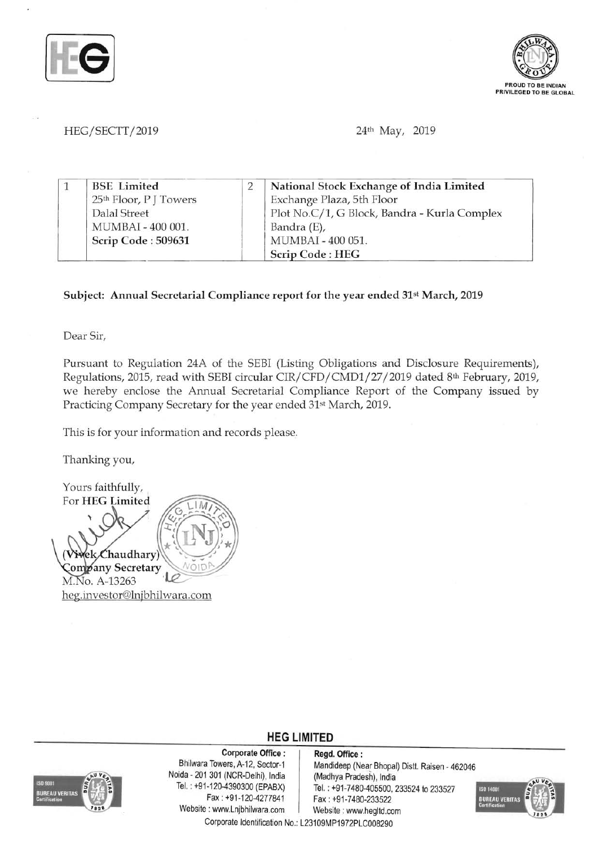



## HEG/SECTT/2019 **24th May, 2019**

|  | <b>BSE</b> Limited     | National Stock Exchange of India Limited     |
|--|------------------------|----------------------------------------------|
|  | 25th Floor, P J Towers | Exchange Plaza, 5th Floor                    |
|  | Dalal Street           | Plot No.C/1, G Block, Bandra - Kurla Complex |
|  | MUMBAI - 400 001.      | Bandra (E),                                  |
|  | Scrip Code: 509631     | MUMBAI - 400 051.                            |
|  |                        | Scrip Code: HEG                              |

## Subject: Annual Secretarial Compliance report for the year ended 31st March, 2019

Dear Sir,

Pursuant to Regulation *24A* of the SEBI (Listing Obligations and Disclosure Requirements), Regulations, 2015, read w ith SEBI circular *CIR/CFD/CMD1/27/ 2019* dated 8th February, 2019, we hereby enclose the Annual Secretarial Compliance Report of the Company issued by Practicing Company Secretary for the year ended 31st March, 2019.

This is for your information and records please.

Thanking you,

Yours faithfully, For HEG Limited Chaudhary ρk Company Secretary M.No. A-13263 heg.investor@lnjbhilwara.com

## **HEG LIMITED**



Corporate Office: Regd. Office:<br>Bhilwara Towers, A-12, Sector-1 Mandideep (Ne Noida - 201 301 (NCR-Delhi), India (Madhya Pradesh), India<br>Tel.: +91-120-4390300 (EPABX) Tel.: +91-7480-405500.2 Website: www.Lnjbhilwara.com | Website: www.hegltd.com

Mandideep (Near Bhopal) Distt. Raisen - 462046 1-120-4390300 (EPABX) Tel.: +91-7480-405500, 233524 to 233527<br>Fax: +91-120-4277841 Fax: +91-7480-233522 Fax: +91-7480-233522



Corporate Identification No.: L23109MP1972PLC008290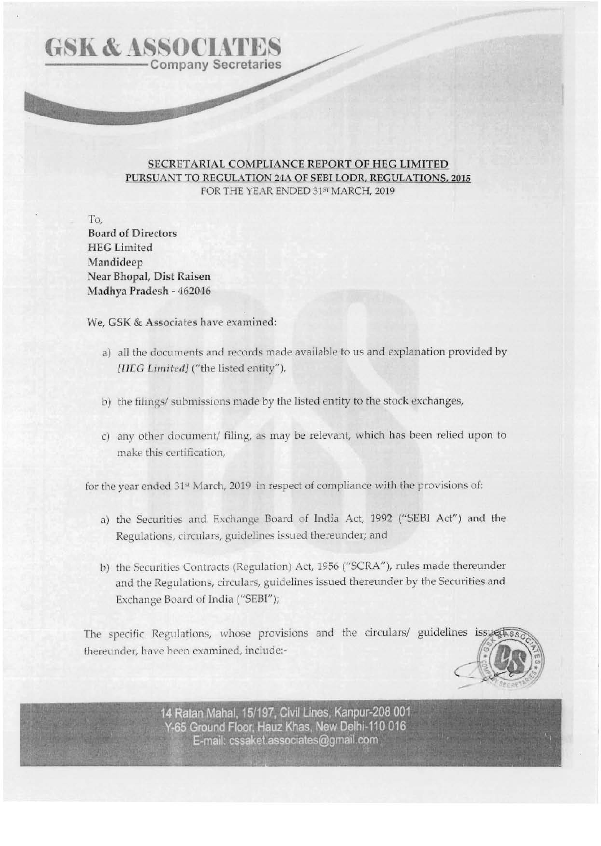## SECRETARIAL COMPLIANCE REPORT OF HEG LIMITED PURSUANT TO REGULATION 24A OF SEBI LODR, REGULATIONS, 2015 FOR THE YEAR ENDED 315T MARCH, 2019

**Contract Contract Contract Contract Contract Contract Contract Contract Contract Contract Contract Contract Contract Contract Contract Contract Contract Contract Contract Contract Contract Contract Contract Contract Contr** 

To, Board of Directors **HEG Limited** Mandideep Near Bhopal, Dist Raisen Madhya Pradesh - 462046

**GSK & ASSOCIATES** 

We, GSK & Associates have examined:

- a) all the documents and records made available to us and explanation provided by [HEG Limited] ("the listed entity"),
- b) the filings/ submissions made by the listed entity to the stock exchanges,
- c) any other document/ filing, as may be relevant, which has been relied upon to make this certification.

for the year ended 31<sup>st</sup> March, 2019 in respect of compliance with the provisions of:

- a) the Securities and Exchange Board of India Act, 1992 ("SEBI Act") and the Regulations, circulars, guidelines issued thereunder; and
- b) the Securities Contracts (Regulation) Act, 1956 ("SCRA"), rules made thereunder and the Regulations, circulars, guidelines issued thereunder by the Securities and Exchange Board of India ("SEBI");

The specific Regulations, whose provisions and the circulars/ guidelines thereunder, have been examined, include:-



14 Ratan Mahal, 15/197, Civil Lines, Kanpur-208 001 Y-65 Ground Floor, Hauz Khas, New Delhi-110 016 E-mail: cssaket.associates@gmail.com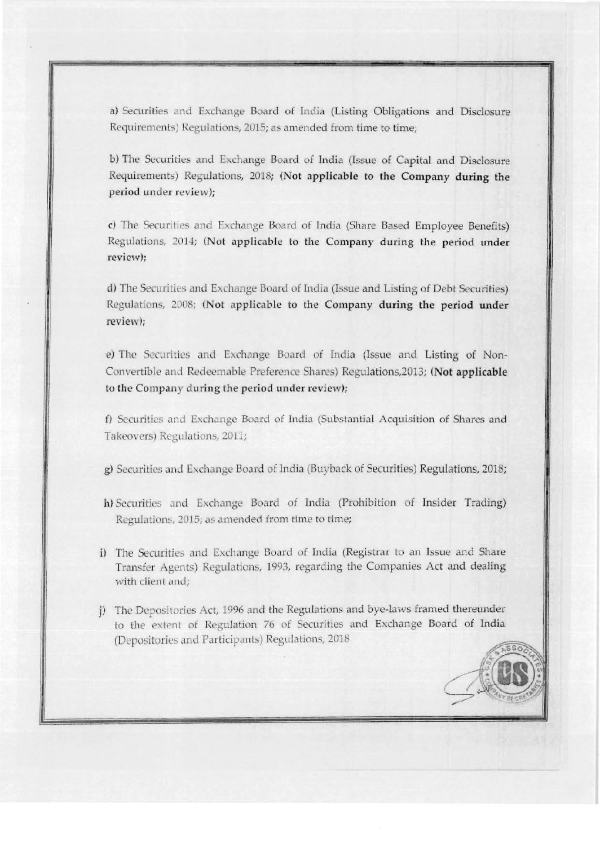a) Securities and Exchange Board of India (Listing Obligations and Disclosure Requirements) Regulations, 2015; as amended from time to time:

b) The Securities and Exchange Board of India (Issue of Capital and Disclosure Requirements) Regulations, 2018; (Not applicable to the Company during the period under review):

c) The Securities and Exchange Board of India (Share Based Employee Benefits) Regulations, 2014; (Not applicable to the Company during the period under review):

d) The Securities and Exchange Board of India (Issue and Listing of Debt Securities) Regulations, 2008; (Not applicable to the Company during the period under review);

e) The Securities and Exchange Board of India (Issue and Listing of Non-Convertible and Redeemable Preference Shares) Regulations, 2013; (Not applicable to the Company during the period under review);

f) Securities and Exchange Board of India (Substantial Acquisition of Shares and Takeovers) Regulations, 2011;

g) Securities and Exchange Board of India (Buyback of Securities) Regulations, 2018;

- h) Securities and Exchange Board of India (Prohibition of Insider Trading) Regulations, 2015; as amended from time to time;
- i) The Securities and Exchange Board of India (Registrar to an Issue and Share Transfer Agents) Regulations, 1993, regarding the Companies Act and dealing with client and;
- j) The Depositories Act, 1996 and the Regulations and bye-laws framed thereunder to the extent of Regulation 76 of Securities and Exchange Board of India (Depositories and Participants) Regulations, 2018